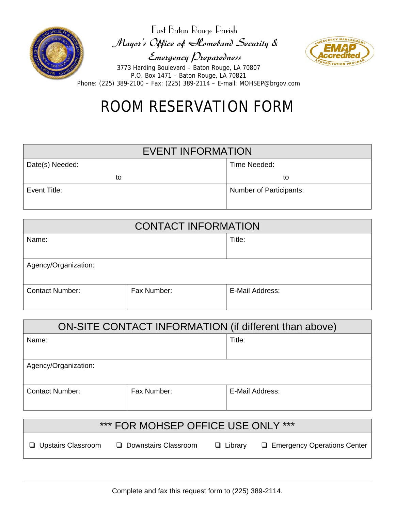

East Baton Rouge Parish Mayor's Office of Homeland Security & Emergency Preparedness



3773 Harding Boulevard – Baton Rouge, LA 70807 P.O. Box 1471 – Baton Rouge, LA 70821 Phone: (225) 389-2100 – Fax: (225) 389-2114 – E-mail: MOHSEP@brgov.com

# ROOM RESERVATION FORM

| <b>EVENT INFORMATION</b> |                                |  |  |
|--------------------------|--------------------------------|--|--|
| Date(s) Needed:          | Time Needed:                   |  |  |
| to                       | to                             |  |  |
| Event Title:             | <b>Number of Participants:</b> |  |  |

| <b>CONTACT INFORMATION</b> |             |                 |  |  |
|----------------------------|-------------|-----------------|--|--|
| Name:                      |             | Title:          |  |  |
|                            |             |                 |  |  |
| Agency/Organization:       |             |                 |  |  |
| <b>Contact Number:</b>     | Fax Number: | E-Mail Address: |  |  |

| ON-SITE CONTACT INFORMATION (if different than above) |                 |  |  |  |  |
|-------------------------------------------------------|-----------------|--|--|--|--|
|                                                       | Title:          |  |  |  |  |
|                                                       |                 |  |  |  |  |
| Agency/Organization:                                  |                 |  |  |  |  |
| Fax Number:                                           | E-Mail Address: |  |  |  |  |
|                                                       |                 |  |  |  |  |

| *** FOR MOHSEP OFFICE USE ONLY *** |                        |                |                               |  |  |
|------------------------------------|------------------------|----------------|-------------------------------|--|--|
| □ Upstairs Classroom               | □ Downstairs Classroom | $\Box$ Library | □ Emergency Operations Center |  |  |